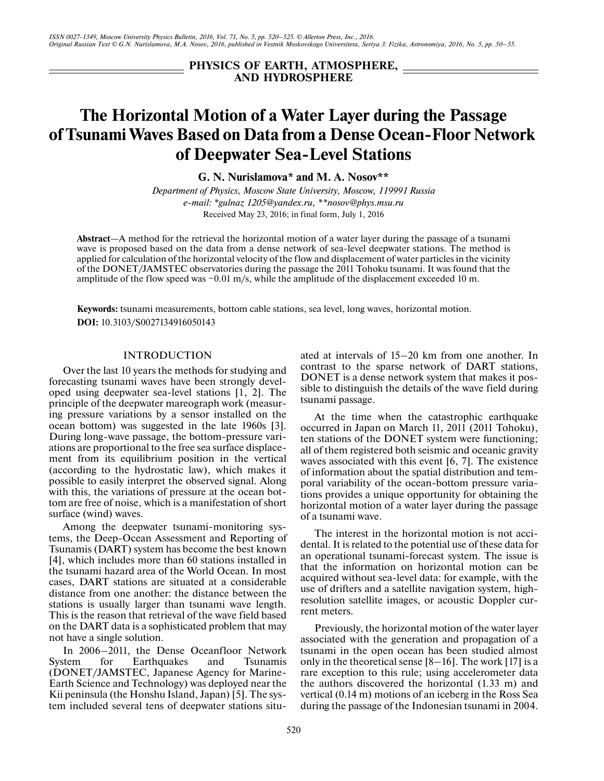**PHYSICS OF EARTH, ATMOSPHERE, AND HYDROSPHERE**

# **The Horizontal Motion of a Water Layer during the Passage of Tsunami Waves Based on Data from a Dense Ocean-Floor Network of Deepwater Sea-Level Stations**

**G. N. Nurislamova\* and M. A. Nosov\*\***

*Department of Physics, Moscow State University, Moscow, 119991 Russia e-mail: \*gulnaz 1205@yandex.ru, \*\*nosov@phys.msu.ru* Received May 23, 2016; in final form, July 1, 2016

**Abstract**—A method for the retrieval the horizontal motion of a water layer during the passage of a tsunami wave is proposed based on the data from a dense network of sea-level deepwater stations. The method is applied for calculation of the horizontal velocity of the flow and displacement of water particles in the vicinity of the DONET/JAMSTEC observatories during the passage the 2011 Tohoku tsunami. It was found that the amplitude of the flow speed was  $\sim 0.01$  m/s, while the amplitude of the displacement exceeded 10 m.

**Keywords:** tsunami measurements, bottom cable stations, sea level, long waves, horizontal motion. **DOI:** 10.3103/S0027134916050143

## **INTRODUCTION**

Over the last 10 years the methods for studying and forecasting tsunami waves have been strongly developed using deepwater sea-level stations [1, 2]. The principle of the deepwater mareograph work (measuring pressure variations by a sensor installed on the ocean bottom) was suggested in the late 1960s [3]. During long-wave passage, the bottom-pressure variations are proportional to the free sea surface displacement from its equilibrium position in the vertical (according to the hydrostatic law), which makes it possible to easily interpret the observed signal. Along with this, the variations of pressure at the ocean bottom are free of noise, which is a manifestation of short surface (wind) waves.

Among the deepwater tsunami-monitoring systems, the Deep-Ocean Assessment and Reporting of Tsunamis (DART) system has become the best known [4], which includes more than 60 stations installed in the tsunami hazard area of the World Ocean. In most cases, DART stations are situated at a considerable distance from one another: the distance between the stations is usually larger than tsunami wave length. This is the reason that retrieval of the wave field based on the DART data is a sophisticated problem that may not have a single solution.

In 2006–2011, the Dense Oceanfloor Network System for Earthquakes and Tsunamis (DONET/JAMSTEC, Japanese Agency for Marine-Earth Science and Technology) was deployed near the Kii peninsula (the Honshu Island, Japan) [5]. The system included several tens of deepwater stations situated at intervals of 15–20 km from one another. In contrast to the sparse network of DART stations, DONET is a dense network system that makes it possible to distinguish the details of the wave field during tsunami passage.

At the time when the catastrophic earthquake occurred in Japan on March 11, 2011 (2011 Tohoku), ten stations of the DONET system were functioning; all of them registered both seismic and oceanic gravity waves associated with this event [6, 7]. The existence of information about the spatial distribution and temporal variability of the ocean-bottom pressure variations provides a unique opportunity for obtaining the horizontal motion of a water layer during the passage of a tsunami wave.

The interest in the horizontal motion is not accidental. It is related to the potential use of these data for an operational tsunami-forecast system. The issue is that the information on horizontal motion can be acquired without sea-level data: for example, with the use of drifters and a satellite navigation system, highresolution satellite images, or acoustic Doppler current meters.

Previously, the horizontal motion of the water layer associated with the generation and propagation of a tsunami in the open ocean has been studied almost only in the theoretical sense  $[8-16]$ . The work  $[17]$  is a rare exception to this rule; using accelerometer data the authors discovered the horizontal (1.33 m) and vertical (0.14 m) motions of an iceberg in the Ross Sea during the passage of the Indonesian tsunami in 2004.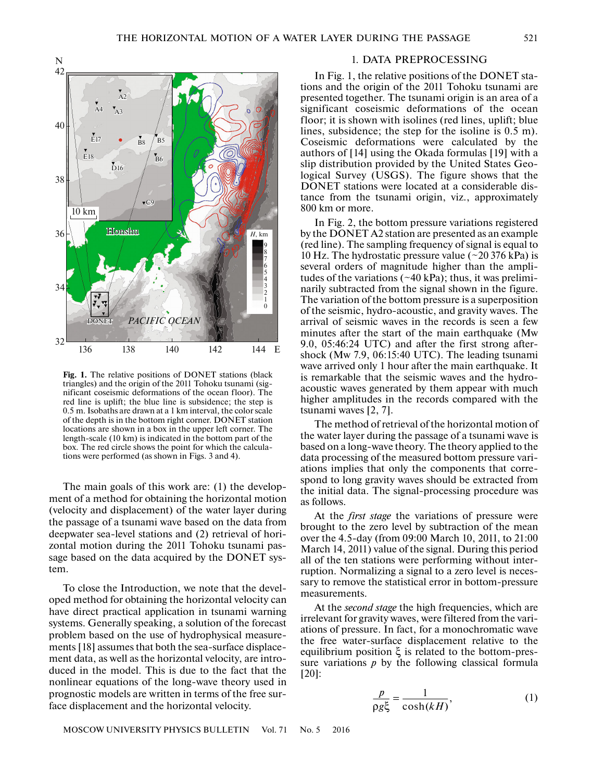

**Fig. 1.** The relative positions of DONET stations (black triangles) and the origin of the 2011 Tohoku tsunami (significant coseismic deformations of the ocean floor). The red line is uplift; the blue line is subsidence; the step is 0.5 m. Isobaths are drawn at a 1 km interval, the color scale of the depth is in the bottom right corner. DONET station locations are shown in a box in the upper left corner. The length-scale (10 km) is indicated in the bottom part of the box. The red circle shows the point for which the calculations were performed (as shown in Figs. 3 and 4).

The main goals of this work are: (1) the development of a method for obtaining the horizontal motion (velocity and displacement) of the water layer during the passage of a tsunami wave based on the data from deepwater sea-level stations and (2) retrieval of horizontal motion during the 2011 Tohoku tsunami passage based on the data acquired by the DONET system.

To close the Introduction, we note that the developed method for obtaining the horizontal velocity can have direct practical application in tsunami warning systems. Generally speaking, a solution of the forecast problem based on the use of hydrophysical measurements [18] assumes that both the sea-surface displacement data, as well as the horizontal velocity, are introduced in the model. This is due to the fact that the nonlinear equations of the long-wave theory used in prognostic models are written in terms of the free surface displacement and the horizontal velocity.

## 1. DATA PREPROCESSING

In Fig. 1, the relative positions of the DONET stations and the origin of the 2011 Tohoku tsunami are presented together. The tsunami origin is an area of a significant coseismic deformations of the ocean floor; it is shown with isolines (red lines, uplift; blue lines, subsidence; the step for the isoline is 0.5 m). Coseismic deformations were calculated by the authors of [14] using the Okada formulas [19] with a slip distribution provided by the United States Geological Survey (USGS). The figure shows that the DONET stations were located at a considerable distance from the tsunami origin, viz., approximately 800 km or more.

In Fig. 2, the bottom pressure variations registered by the DONET A2 station are presented as an example (red line). The sampling frequency of signal is equal to 10 Hz. The hydrostatic pressure value  $(\sim 20 376 \text{ kPa})$  is several orders of magnitude higher than the amplitudes of the variations  $(\sim 40 \text{ kPa})$ ; thus, it was preliminarily subtracted from the signal shown in the figure. The variation of the bottom pressure is a superposition of the seismic, hydro-acoustic, and gravity waves. The arrival of seismic waves in the records is seen a few minutes after the start of the main earthquake (Mw) 9.0, 05:46:24 UTC) and after the first strong aftershock (Mw 7.9, 06:15:40 UTC). The leading tsunami wave arrived only 1 hour after the main earthquake. It is remarkable that the seismic waves and the hydroacoustic waves generated by them appear with much higher amplitudes in the records compared with the tsunami waves [2, 7].

The method of retrieval of the horizontal motion of the water layer during the passage of a tsunami wave is based on a long-wave theory. The theory applied to the data processing of the measured bottom pressure variations implies that only the components that correspond to long gravity waves should be extracted from the initial data. The signal-processing procedure was as follows.

At the *first stage* the variations of pressure were brought to the zero level by subtraction of the mean over the 4.5-day (from 09:00 March 10, 2011, to 21:00 March 14, 2011) value of the signal. During this period all of the ten stations were performing without interruption. Normalizing a signal to a zero level is necessary to remove the statistical error in bottom-pressure measurements.

At the *second stage* the high frequencies, which are irrelevant for gravity waves, were filtered from the variations of pressure. In fact, for a monochromatic wave the free water-surface displacement relative to the equilibrium position ξ is related to the bottom-pressure variations *p* by the following classical formula [20]:

$$
\frac{p}{\rho g \xi} = \frac{1}{\cosh(kH)},\tag{1}
$$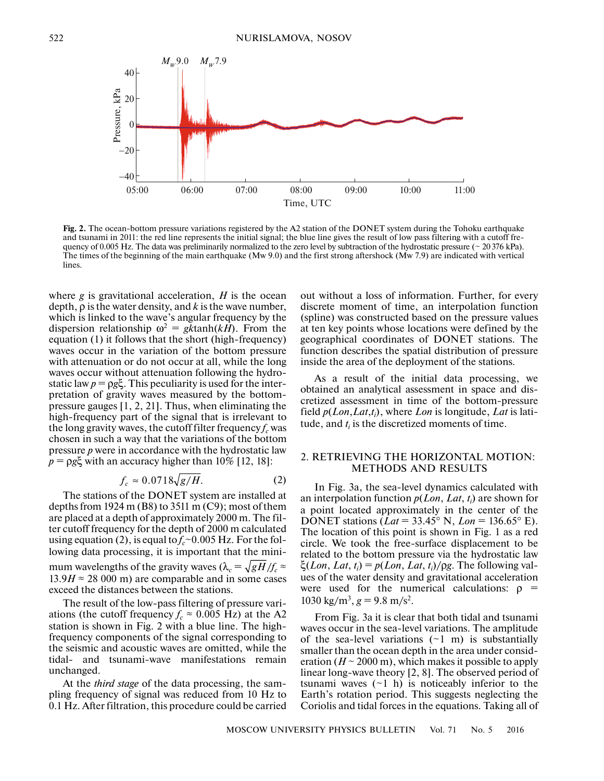

**Fig. 2.** The ocean-bottom pressure variations registered by the A2 station of the DONET system during the Tohoku earthquake and tsunami in 2011: the red line represents the initial signal; the blue line gives the result of low pass filtering with a cutoff frequency of 0.005 Hz. The data was preliminarily normalized to the zero level by subtraction of the hydrostatic pressure ( $\sim$  20376 kPa). The times of the beginning of the main earthquake (Mw 9.0) and the first strong aftershock (Mw 7.9) are indicated with vertical lines.

where *g* is gravitational acceleration, *H* is the ocean depth, ρ is the water density, and *k* is the wave number, which is linked to the wave's angular frequency by the dispersion relationship  $\omega^2 = gk \tanh(kH)$ . From the equation (1) it follows that the short (high-frequency) waves occur in the variation of the bottom pressure with attenuation or do not occur at all, while the long waves occur without attenuation following the hydrostatic law  $p = \rho g \xi$ . This peculiarity is used for the interpretation of gravity waves measured by the bottompressure gauges [1, 2, 21]. Thus, when eliminating the high-frequency part of the signal that is irrelevant to the long gravity waves, the cutoff filter frequency  $f_c$  was chosen in such a way that the variations of the bottom pressure *p* were in accordance with the hydrostatic law  $p = \rho g \xi$  with an accuracy higher than 10% [12, 18]:

$$
f_c \approx 0.0718\sqrt{g/H}.\tag{2}
$$

The stations of the DONET system are installed at depths from 1924 m (B8) to  $3511 \text{ m}$  (C9); most of them are placed at a depth of approximately 2000 m. The filter cutoff frequency for the depth of 2000 m calculated using equation (2), is equal to  $f_c \sim 0.005$  Hz. For the following data processing, it is important that the minimum wavelengths of the gravity waves ( $\lambda_c = \sqrt{gH/f_c} \approx$  $13.9H \approx 28000$  m) are comparable and in some cases exceed the distances between the stations.

The result of the low-pass filtering of pressure variations (the cutoff frequency  $f_c \approx 0.005$  Hz) at the A2 station is shown in Fig. 2 with a blue line. The highfrequency components of the signal corresponding to the seismic and acoustic waves are omitted, while the tidal- and tsunami-wave manifestations remain unchanged.

At the *third stage* of the data processing, the sampling frequency of signal was reduced from 10 Hz to 0.1 Hz. After filtration, this procedure could be carried out without a loss of information. Further, for every discrete moment of time, an interpolation function (spline) was constructed based on the pressure values at ten key points whose locations were defined by the geographical coordinates of DONET stations. The function describes the spatial distribution of pressure inside the area of the deployment of the stations.

As a result of the initial data processing, we obtained an analytical assessment in space and discretized assessment in time of the bottom-pressure field *p*(*Lon*,*Lat*,*ti* ), where *Lon* is longitude, *Lat* is latitude, and  $t_i$  is the discretized moments of time.

#### 2. RETRIEVING THE HORIZONTAL MOTION: METHODS AND RESULTS

In Fig. 3a, the sea-level dynamics calculated with an interpolation function *p*(*Lon*, *Lat*, *ti* ) are shown for a point located approximately in the center of the DONET stations (*Lat* = 33.45° N, *Lon* = 136.65° E). The location of this point is shown in Fig. 1 as a red circle. We took the free-surface displacement to be related to the bottom pressure via the hydrostatic law  $\xi$ (*Lon*, *Lat*, *t<sub>i</sub>*) =  $p$ (*Lon*, *Lat*, *t<sub>i</sub>*)/ $\rho$ *g*. The following values of the water density and gravitational acceleration were used for the numerical calculations:  $\rho =$ 1030 kg/m<sup>3</sup>,  $g = 9.8$  m/s<sup>2</sup>.

From Fig. 3a it is clear that both tidal and tsunami waves occur in the sea-level variations. The amplitude of the sea-level variations  $(\sim 1 \text{ m})$  is substantially smaller than the ocean depth in the area under consideration  $(H \sim 2000 \text{ m})$ , which makes it possible to apply linear long-wave theory [2, 8]. The observed period of tsunami waves  $(\sim 1 \text{ h})$  is noticeably inferior to the Earth's rotation period. This suggests neglecting the Coriolis and tidal forces in the equations. Taking all of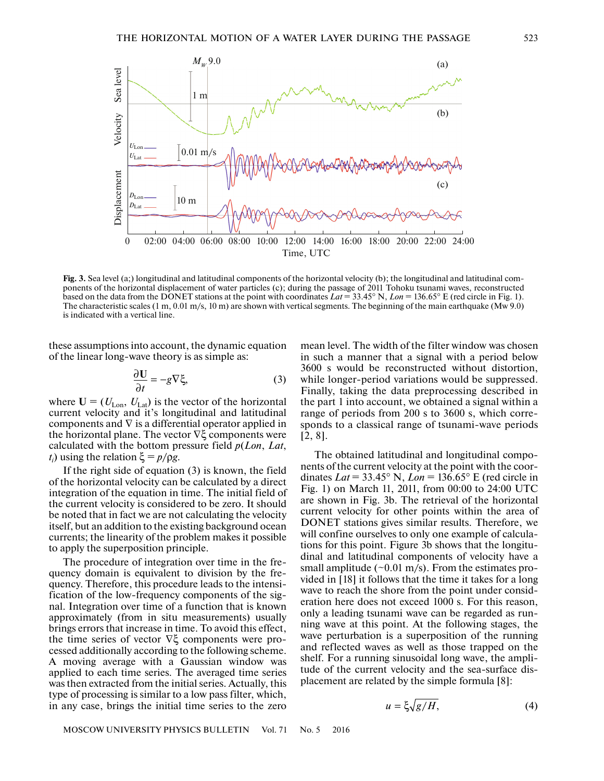

**Fig. 3.** Sea level (a;) longitudinal and latitudinal components of the horizontal velocity (b); the longitudinal and latitudinal components of the horizontal displacement of water particles (c); during the passage of 2011 Tohoku tsunami waves, reconstructed based on the data from the DONET stations at the point with coordinates  $Lat = 33.45^{\circ}$  N,  $Lon = 136.65^{\circ}$  E (red circle in Fig. 1). The characteristic scales (1 m, 0.01 m/s, 10 m) are shown with vertical segments. The beginning of the main earthquake (Mw 9.0) is indicated with a vertical line.

these assumptions into account, the dynamic equation of the linear long-wave theory is as simple as:

$$
\frac{\partial \mathbf{U}}{\partial t} = -g \nabla \xi,\tag{3}
$$

where  $U = (U_{\text{Lon}}, U_{\text{Lat}})$  is the vector of the horizontal current velocity and it's longitudinal and latitudinal components and  $\nabla$  is a differential operator applied in the horizontal plane. The vector ∇ξ components were calculated with the bottom pressure field *p*(*Lon*, *Lat*, *t<sub>i</sub>*) using the relation  $\xi = p/\rho g$ .

If the right side of equation (3) is known, the field of the horizontal velocity can be calculated by a direct integration of the equation in time. The initial field of the current velocity is considered to be zero. It should be noted that in fact we are not calculating the velocity itself, but an addition to the existing background ocean currents; the linearity of the problem makes it possible to apply the superposition principle.

The procedure of integration over time in the frequency domain is equivalent to division by the frequency. Therefore, this procedure leads to the intensification of the low-frequency components of the signal. Integration over time of a function that is known approximately (from in situ measurements) usually brings errors that increase in time. To avoid this effect, the time series of vector ∇ξ components were processed additionally according to the following scheme. A moving average with a Gaussian window was applied to each time series. The averaged time series was then extracted from the initial series. Actually, this type of processing is similar to a low pass filter, which, in any case, brings the initial time series to the zero

mean level. The width of the filter window was chosen in such a manner that a signal with a period below 3600 s would be reconstructed without distortion, while longer-period variations would be suppressed. Finally, taking the data preprocessing described in the part 1 into account, we obtained a signal within a range of periods from 200 s to 3600 s, which corresponds to a classical range of tsunami-wave periods [2, 8].

The obtained latitudinal and longitudinal components of the current velocity at the point with the coordinates *Lat* = 33.45° N, *Lon* = 136.65° E (red circle in Fig. 1) on March 11, 2011, from 00:00 to 24:00 UTC are shown in Fig. 3b. The retrieval of the horizontal current velocity for other points within the area of DONET stations gives similar results. Therefore, we will confine ourselves to only one example of calculations for this point. Figure 3b shows that the longitudinal and latitudinal components of velocity have a small amplitude ( $\sim$ 0.01 m/s). From the estimates provided in [18] it follows that the time it takes for a long wave to reach the shore from the point under consideration here does not exceed 1000 s. For this reason, only a leading tsunami wave can be regarded as running wave at this point. At the following stages, the wave perturbation is a superposition of the running and reflected waves as well as those trapped on the shelf. For a running sinusoidal long wave, the amplitude of the current velocity and the sea-surface displacement are related by the simple formula [8]:

$$
u = \xi \sqrt{g/H},\tag{4}
$$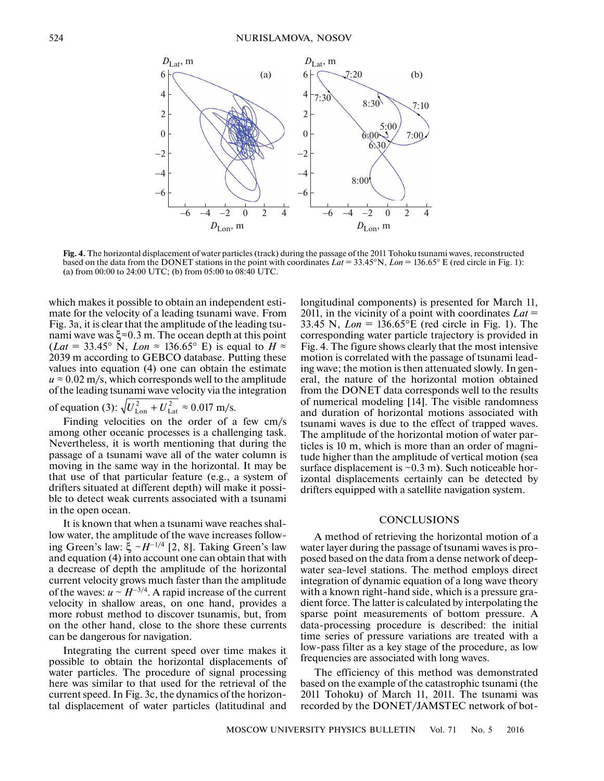

**Fig. 4.** The horizontal displacement of water particles (track) during the passage of the 2011 Tohoku tsunami waves, reconstructed based on the data from the DONET stations in the point with coordinates *Lat* = 33.45°N, *Lon* = 136.65° E (red circle in Fig. 1): (a) from 00:00 to 24:00 UTC; (b) from 05:00 to 08:40 UTC.

which makes it possible to obtain an independent estimate for the velocity of a leading tsunami wave. From Fig. 3a, it is clear that the amplitude of the leading tsunami wave was ξ≈0.3 m. The ocean depth at this point (*Lat* = 33.45° N, *Lon*  $\approx$  136.65° E) is equal to  $H \approx$ 2039 m according to GEBCO database. Putting these values into equation (4) one can obtain the estimate  $u \approx 0.02$  m/s, which corresponds well to the amplitude of the leading tsunami wave velocity via the integration of equation (3):  $\sqrt{U_{\text{Lon}}^2 + U_{\text{Lat}}^2} \approx 0.017 \text{ m/s}.$ 

Finding velocities on the order of a few cm/s among other oceanic processes is a challenging task. Nevertheless, it is worth mentioning that during the passage of a tsunami wave all of the water column is moving in the same way in the horizontal. It may be that use of that particular feature (e.g., a system of drifters situated at different depth) will make it possible to detect weak currents associated with a tsunami in the open ocean.

It is known that when a tsunami wave reaches shallow water, the amplitude of the wave increases following Green's law: ξ ~*H*–1/4 [2, 8]. Taking Green's law and equation (4) into account one can obtain that with a decrease of depth the amplitude of the horizontal current velocity grows much faster than the amplitude of the waves:  $u \sim H^{-3/4}$ . A rapid increase of the current velocity in shallow areas, on one hand, provides a more robust method to discover tsunamis, but, from on the other hand, close to the shore these currents can be dangerous for navigation.

Integrating the current speed over time makes it possible to obtain the horizontal displacements of water particles. The procedure of signal processing here was similar to that used for the retrieval of the current speed. In Fig. 3c, the dynamics of the horizontal displacement of water particles (latitudinal and longitudinal components) is presented for March 11, 2011, in the vicinity of a point with coordinates *Lat* = 33.45 N,  $Lon = 136.65$ °E (red circle in Fig. 1). The corresponding water particle trajectory is provided in Fig. 4. The figure shows clearly that the most intensive motion is correlated with the passage of tsunami leading wave; the motion is then attenuated slowly. In general, the nature of the horizontal motion obtained from the DONET data corresponds well to the results of numerical modeling [14]. The visible randomness and duration of horizontal motions associated with tsunami waves is due to the effect of trapped waves. The amplitude of the horizontal motion of water particles is 10 m, which is more than an order of magnitude higher than the amplitude of vertical motion (sea surface displacement is  $\sim 0.3$  m). Such noticeable horizontal displacements certainly can be detected by drifters equipped with a satellite navigation system.

#### **CONCLUSIONS**

A method of retrieving the horizontal motion of a water layer during the passage of tsunami waves is proposed based on the data from a dense network of deepwater sea-level stations. The method employs direct integration of dynamic equation of a long wave theory with a known right-hand side, which is a pressure gradient force. The latter is calculated by interpolating the sparse point measurements of bottom pressure. A data-processing procedure is described: the initial time series of pressure variations are treated with a low-pass filter as a key stage of the procedure, as low frequencies are associated with long waves.

The efficiency of this method was demonstrated based on the example of the catastrophic tsunami (the 2011 Tohoku) of March 11, 2011. The tsunami was recorded by the DONET/JAMSTEC network of bot